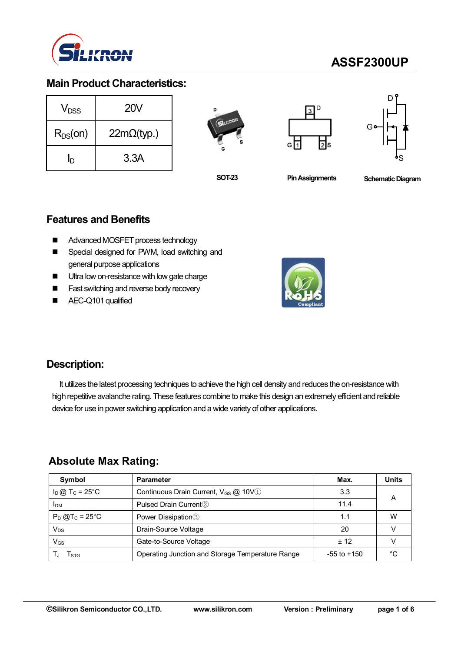

# **ASSF2300UP**

## **Main Product Characteristics:**

| $V_{DSS}$    | <b>20V</b>         |  |  |  |
|--------------|--------------------|--|--|--|
| $R_{DS}(on)$ | $22m\Omega$ (typ.) |  |  |  |
| ln           | 3.3A               |  |  |  |







**SOT-23**

**Pin Assignments Schematic Diagram** 

## **Features and Benefits**

- Advanced MOSFET process technology
- Special designed for PWM, load switching and general purpose applications
- Ultra low on-resistance with low gate charge
- **Fast switching and reverse body recovery**
- AEC-Q101 qualified



### **Description:**

It utilizes the latest processing techniques to achieve the high cell density and reduces the on-resistance with high repetitive avalanche rating. These features combine to make this design an extremely efficient and reliable device for use in power switching application and a wide variety of other applications.

## **Absolute Max Rating:**

| Symbol                        | <b>Parameter</b>                                        | Max.            | <b>Units</b> |
|-------------------------------|---------------------------------------------------------|-----------------|--------------|
| $I_D$ @ T <sub>C</sub> = 25°C | Continuous Drain Current, $V_{GS}$ $@$ 10V <sup>1</sup> | 3.3             |              |
| <b>IDM</b>                    | Pulsed Drain Current <sup>2</sup>                       | 11.4            | А            |
| $P_D @T_C = 25^{\circ}C$      | Power Dissipation <sup>3</sup>                          | 1.1             | W            |
| Vps                           | Drain-Source Voltage                                    | 20              |              |
| V <sub>GS</sub>               | Gate-to-Source Voltage                                  | $+12$           |              |
| l stg                         | Operating Junction and Storage Temperature Range        | $-55$ to $+150$ | °∩           |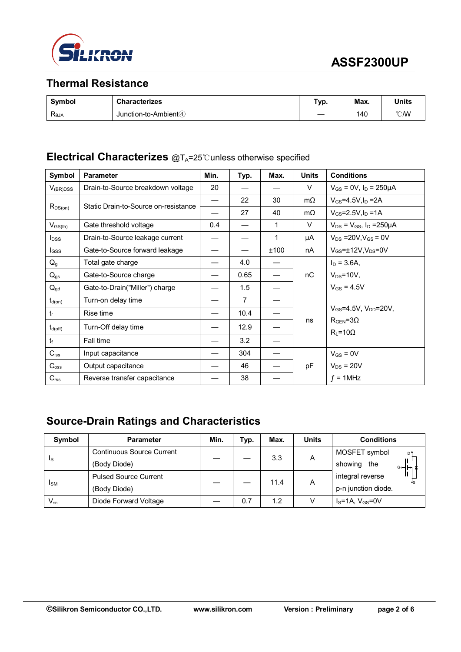

## **Thermal Resistance**

| Symbol                        | <b>Characterizes</b>               | Typ. | Max. | <b>Units</b>     |
|-------------------------------|------------------------------------|------|------|------------------|
| $\mathsf{R}_{\text{\sf 6JA}}$ | Junction-to-Ambient <sup>(4)</sup> |      | 140  | $\mathcal{C}$ MV |

#### **Electrical Characterizes** @T<sub>A</sub>=25℃unless otherwise specified

| Symbol              | <b>Parameter</b>                     | Min. | Typ.           | Max. | <b>Units</b> | <b>Conditions</b>                              |
|---------------------|--------------------------------------|------|----------------|------|--------------|------------------------------------------------|
| $V_{(BR)DSS}$       | Drain-to-Source breakdown voltage    | 20   |                |      | V            | $V_{GS}$ = 0V, $I_D$ = 250µA                   |
|                     | Static Drain-to-Source on-resistance |      | 22             | 30   | $m\Omega$    | $V_{GS} = 4.5V, I_D = 2A$                      |
| $R_{DS(on)}$        |                                      |      | 27             | 40   | $m\Omega$    | $V_{GS} = 2.5 V, I_D = 1 A$                    |
| $V_{GS(th)}$        | Gate threshold voltage               | 0.4  |                | 1    | V            | $V_{DS} = V_{GS}$ , $I_D = 250 \mu A$          |
| $I_{DSS}$           | Drain-to-Source leakage current      |      |                | 1    | μA           | $V_{DS} = 20V, V_{GS} = 0V$                    |
| $I_{GSS}$           | Gate-to-Source forward leakage       |      |                | ±100 | nA           | $V_{GS}$ = $\pm$ 12V, V <sub>DS</sub> =0V      |
| $Q_g$               | Total gate charge                    |      | 4.0            |      |              | $I_D = 3.6A$                                   |
| $Q_{gs}$            | Gate-to-Source charge                |      | 0.65           |      | пC           | $V_{DS} = 10V$ ,                               |
| $Q_{gd}$            | Gate-to-Drain("Miller") charge       |      | 1.5            |      |              | $V_{GS} = 4.5V$                                |
| $t_{d(on)}$         | Turn-on delay time                   |      | $\overline{7}$ |      |              |                                                |
| $t_{r}$             | Rise time                            |      | 10.4           |      |              | $V_{GS} = 4.5V$ , $V_{DD} = 20V$ ,             |
| $t_{d(\text{off})}$ | Turn-Off delay time                  |      | 12.9           |      | ns           | $R_{\text{GEN}} = 3\Omega$<br>$R_L = 10\Omega$ |
| tr                  | Fall time                            |      | 3.2            |      |              |                                                |
| $C_{iss}$           | Input capacitance                    |      | 304            |      |              | $V_{GS} = 0V$                                  |
| $C_{\rm oss}$       | Output capacitance                   |      | 46             |      | рF           | $V_{DS}$ = 20V                                 |
| C <sub>rss</sub>    | Reverse transfer capacitance         |      | 38             |      |              | $f = 1$ MHz                                    |

## **Source-Drain Ratings and Characteristics**

| Symbol                     | <b>Parameter</b>                 | Min. | Typ. | Max. | <b>Units</b> | <b>Conditions</b>               |  |
|----------------------------|----------------------------------|------|------|------|--------------|---------------------------------|--|
| <sub>s</sub>               | <b>Continuous Source Current</b> |      |      | 3.3  | A            | MOSFET symbol<br>D <sup>9</sup> |  |
|                            | (Body Diode)                     |      |      |      |              | showing the<br>⊶⊢⊶              |  |
| <b>I</b> sm                | <b>Pulsed Source Current</b>     |      |      | 11.4 | Α            | integral reverse                |  |
|                            | (Body Diode)                     |      |      |      |              | p-n junction diode.             |  |
| $\mathsf{V}_{\mathsf{SD}}$ | Diode Forward Voltage            |      | 0.7  | 1.2  |              | $IS=1A, VGS=0V$                 |  |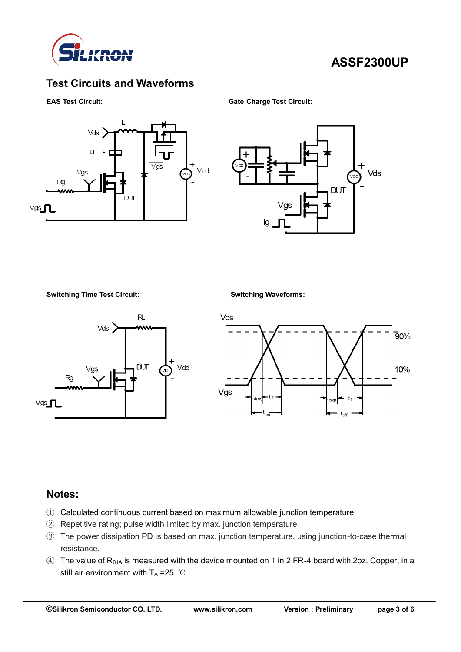

## **Test Circuits and Waveforms**

**EAS Test Circuit: Gate Charge Test Circuit:**





**Switching Time Test Circuit: Switching Waveforms:**





#### **Notes:**

- ① Calculated continuous current based on maximum allowable junction temperature.
- ② Repetitive rating; pulse width limited by max. junction temperature.
- ③ The power dissipation PD is based on max. junction temperature, using junction-to-case thermal resistance.
- $\circled{4}$  The value of R<sub>θJA</sub> is measured with the device mounted on 1 in 2 FR-4 board with 2oz. Copper, in a still air environment with  $T_A = 25$  ℃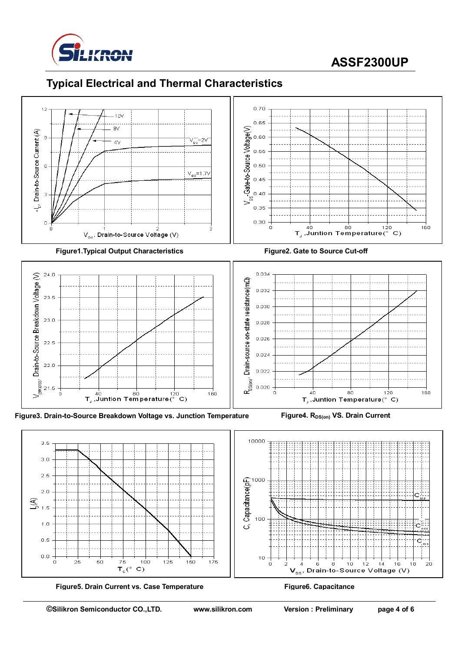

# **ASSF2300UP**

## **Typical Electrical and Thermal Characteristics**



75

 $T_c$ (°  $\mathbf{C}$ 

 $100$ 

 $125$ 

 $150$ 

 $0.0$ 

r

 $2\epsilon$ 

50

 $175$ 

 $10$ 

ó

 $\mathbf{V}_{\text{os}}$ 

 $\frac{1}{6}$   $\frac{1}{8}$   $\frac{1}{10}$   $\frac{1}{12}$   $\frac{1}{14}$   $\frac{1}{16}$ <br>Drain-to-Source Voltage (V)

 $20$ 

 $18$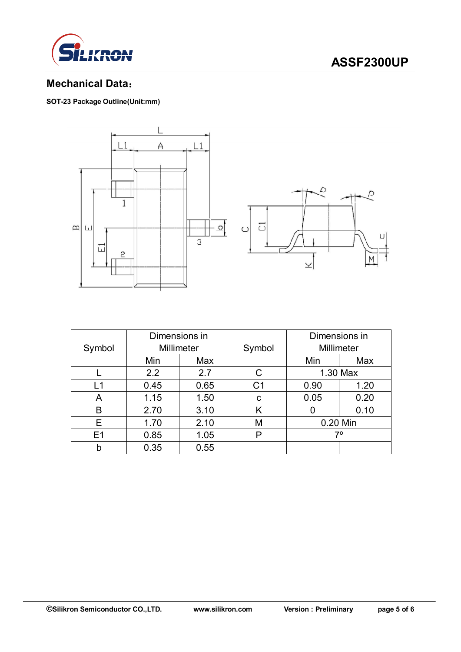

# **ASSF2300UP**

## **Mechanical Data**:

**SOT-23 Package Outline(Unit:mm)**



| Symbol | Dimensions in<br>Millimeter |      | Symbol         | Dimensions in<br>Millimeter |      |  |
|--------|-----------------------------|------|----------------|-----------------------------|------|--|
|        | Min                         | Max  |                | Min                         | Max  |  |
|        | 2.2                         | 2.7  | C              | 1.30 Max                    |      |  |
| L1     | 0.45                        | 0.65 | C <sub>1</sub> | 0.90                        | 1.20 |  |
| A      | 1.15                        | 1.50 | C              | 0.05<br>0.20                |      |  |
| B      | 2.70                        | 3.10 | K              | 0.10<br>O                   |      |  |
| Е      | 1.70                        | 2.10 | M              | 0.20 Min                    |      |  |
| E1     | 0.85                        | 1.05 | P              | 70                          |      |  |
| b      | 0.35                        | 0.55 |                |                             |      |  |